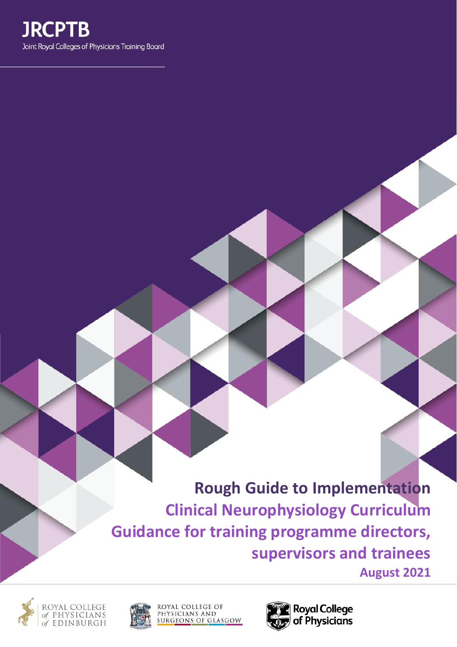

**Rough Guide to Implementation Clinical Neurophysiology Curriculum Guidance for training programme directors, supervisors and trainees August 2021**





ROYAL COLLEGE OF<br>PHYSICIANS AND<br>SURGEONS OF GLASGOW

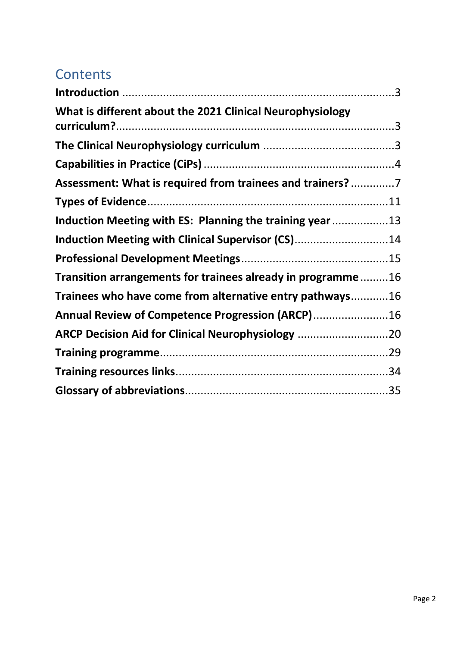# **Contents**

| What is different about the 2021 Clinical Neurophysiology   |  |
|-------------------------------------------------------------|--|
|                                                             |  |
|                                                             |  |
| Assessment: What is required from trainees and trainers? 7  |  |
|                                                             |  |
| Induction Meeting with ES: Planning the training year 13    |  |
| Induction Meeting with Clinical Supervisor (CS)14           |  |
|                                                             |  |
| Transition arrangements for trainees already in programme16 |  |
| Trainees who have come from alternative entry pathways16    |  |
| Annual Review of Competence Progression (ARCP)16            |  |
| ARCP Decision Aid for Clinical Neurophysiology 20           |  |
|                                                             |  |
|                                                             |  |
|                                                             |  |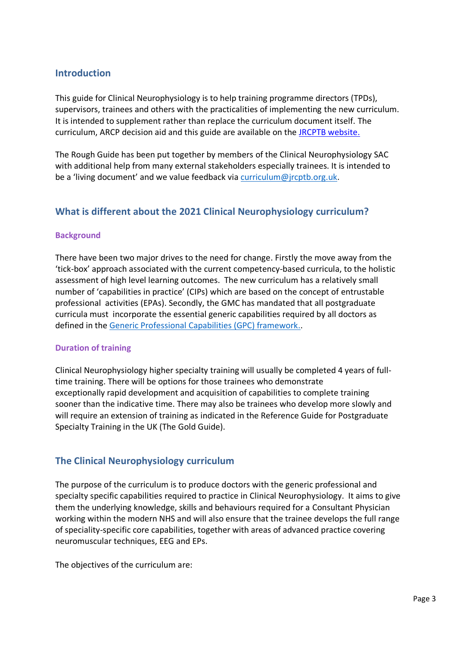## <span id="page-2-0"></span>**Introduction**

This guide for Clinical Neurophysiology is to help training programme directors (TPDs), supervisors, trainees and others with the practicalities of implementing the new curriculum. It is intended to supplement rather than replace the curriculum document itself. The curriculum, ARCP decision aid and this guide are available on the [JRCPTB website.](https://www.jrcptb.org.uk/specialties/clinical-neurophysiology)

The Rough Guide has been put together by members of the Clinical Neurophysiology SAC with additional help from many external stakeholders especially trainees. It is intended to be a 'living document' and we value feedback via [curriculum@jrcptb.org.uk.](mailto:curriculum@jrcptb.org.uk)

## <span id="page-2-1"></span>**What is different about the 2021 Clinical Neurophysiology curriculum?**

#### **Background**

There have been two major drives to the need for change. Firstly the move away from the 'tick-box' approach associated with the current competency-based curricula, to the holistic assessment of high level learning outcomes. The new curriculum has a relatively small number of 'capabilities in practice' (CIPs) which are based on the concept of entrustable professional activities (EPAs). Secondly, the GMC has mandated that all postgraduate curricula must incorporate the essential generic capabilities required by all doctors as defined in the [Generic Professional Capabilities \(GPC\) framework.](https://www.gmc-uk.org/education/standards-guidance-and-curricula/standards-and-outcomes/generic-professional-capabilities-framework).

#### **Duration of training**

Clinical Neurophysiology higher specialty training will usually be completed 4 years of fulltime training. There will be options for those trainees who demonstrate exceptionally rapid development and acquisition of capabilities to complete training sooner than the indicative time. There may also be trainees who develop more slowly and will require an extension of training as indicated in the Reference Guide for Postgraduate Specialty Training in the UK (The Gold Guide).

## <span id="page-2-2"></span>**The Clinical Neurophysiology curriculum**

The purpose of the curriculum is to produce doctors with the generic professional and specialty specific capabilities required to practice in Clinical Neurophysiology. It aims to give them the underlying knowledge, skills and behaviours required for a Consultant Physician working within the modern NHS and will also ensure that the trainee develops the full range of speciality-specific core capabilities, together with areas of advanced practice covering neuromuscular techniques, EEG and EPs.

The objectives of the curriculum are: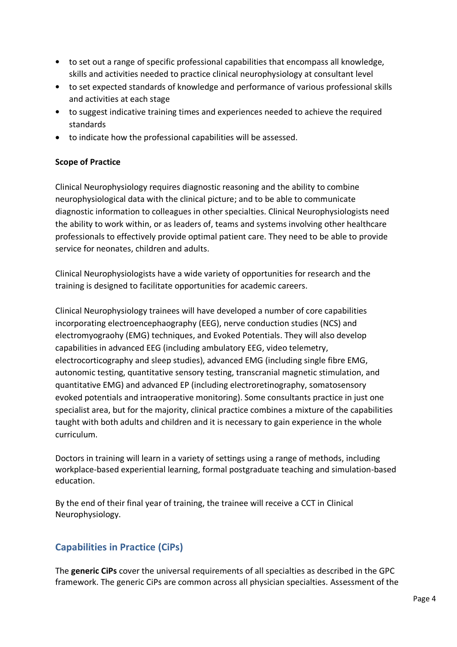- to set out a range of specific professional capabilities that encompass all knowledge, skills and activities needed to practice clinical neurophysiology at consultant level
- to set expected standards of knowledge and performance of various professional skills and activities at each stage
- to suggest indicative training times and experiences needed to achieve the required standards
- to indicate how the professional capabilities will be assessed.

### **Scope of Practice**

Clinical Neurophysiology requires diagnostic reasoning and the ability to combine neurophysiological data with the clinical picture; and to be able to communicate diagnostic information to colleagues in other specialties. Clinical Neurophysiologists need the ability to work within, or as leaders of, teams and systems involving other healthcare professionals to effectively provide optimal patient care. They need to be able to provide service for neonates, children and adults.

Clinical Neurophysiologists have a wide variety of opportunities for research and the training is designed to facilitate opportunities for academic careers.

Clinical Neurophysiology trainees will have developed a number of core capabilities incorporating electroencephaography (EEG), nerve conduction studies (NCS) and electromyograohy (EMG) techniques, and Evoked Potentials. They will also develop capabilities in advanced EEG (including ambulatory EEG, video telemetry, electrocorticography and sleep studies), advanced EMG (including single fibre EMG, autonomic testing, quantitative sensory testing, transcranial magnetic stimulation, and quantitative EMG) and advanced EP (including electroretinography, somatosensory evoked potentials and intraoperative monitoring). Some consultants practice in just one specialist area, but for the majority, clinical practice combines a mixture of the capabilities taught with both adults and children and it is necessary to gain experience in the whole curriculum.

Doctors in training will learn in a variety of settings using a range of methods, including workplace-based experiential learning, formal postgraduate teaching and simulation-based education.

By the end of their final year of training, the trainee will receive a CCT in Clinical Neurophysiology.

## <span id="page-3-0"></span>**Capabilities in Practice (CiPs)**

The **generic CiPs** cover the universal requirements of all specialties as described in the GPC framework. The generic CiPs are common across all physician specialties. Assessment of the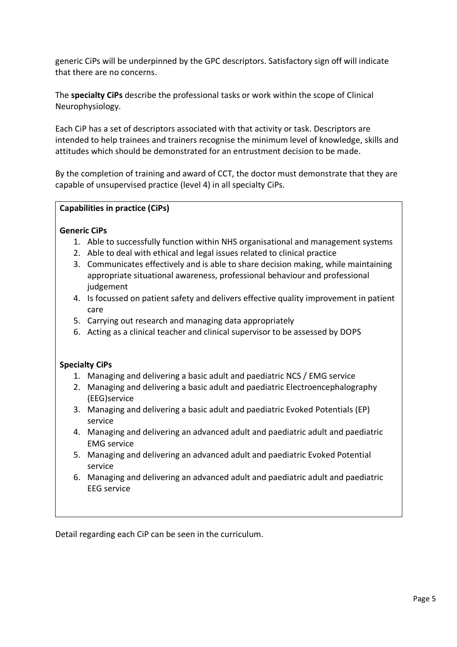generic CiPs will be underpinned by the GPC descriptors. Satisfactory sign off will indicate that there are no concerns.

The **specialty CiPs** describe the professional tasks or work within the scope of Clinical Neurophysiology.

Each CiP has a set of descriptors associated with that activity or task. Descriptors are intended to help trainees and trainers recognise the minimum level of knowledge, skills and attitudes which should be demonstrated for an entrustment decision to be made.

By the completion of training and award of CCT, the doctor must demonstrate that they are capable of unsupervised practice (level 4) in all specialty CiPs.

#### **Capabilities in practice (CiPs)**

#### **Generic CiPs**

- 1. Able to successfully function within NHS organisational and management systems
- 2. Able to deal with ethical and legal issues related to clinical practice
- 3. Communicates effectively and is able to share decision making, while maintaining appropriate situational awareness, professional behaviour and professional judgement
- 4. Is focussed on patient safety and delivers effective quality improvement in patient care
- 5. Carrying out research and managing data appropriately
- 6. Acting as a clinical teacher and clinical supervisor to be assessed by DOPS

#### **Specialty CiPs**

- 1. Managing and delivering a basic adult and paediatric NCS / EMG service
- 2. Managing and delivering a basic adult and paediatric Electroencephalography (EEG)service
- 3. Managing and delivering a basic adult and paediatric Evoked Potentials (EP) service
- 4. Managing and delivering an advanced adult and paediatric adult and paediatric EMG service
- 5. Managing and delivering an advanced adult and paediatric Evoked Potential service
- 6. Managing and delivering an advanced adult and paediatric adult and paediatric EEG service

Detail regarding each CiP can be seen in the curriculum.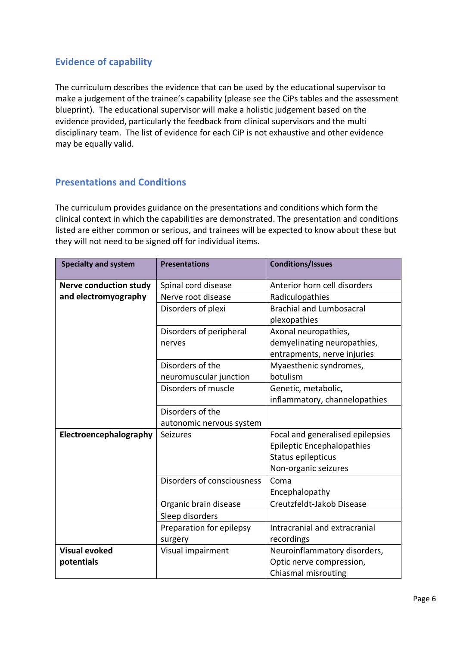## **Evidence of capability**

The curriculum describes the evidence that can be used by the educational supervisor to make a judgement of the trainee's capability (please see the CiPs tables and the assessment blueprint). The educational supervisor will make a holistic judgement based on the evidence provided, particularly the feedback from clinical supervisors and the multi disciplinary team. The list of evidence for each CiP is not exhaustive and other evidence may be equally valid.

## **Presentations and Conditions**

The curriculum provides guidance on the presentations and conditions which form the clinical context in which the capabilities are demonstrated. The presentation and conditions listed are either common or serious, and trainees will be expected to know about these but they will not need to be signed off for individual items.

| <b>Specialty and system</b>   | <b>Presentations</b>       | <b>Conditions/Issues</b>          |
|-------------------------------|----------------------------|-----------------------------------|
| <b>Nerve conduction study</b> | Spinal cord disease        | Anterior horn cell disorders      |
| and electromyography          | Nerve root disease         | Radiculopathies                   |
|                               | Disorders of plexi         | <b>Brachial and Lumbosacral</b>   |
|                               |                            | plexopathies                      |
|                               | Disorders of peripheral    | Axonal neuropathies,              |
|                               | nerves                     | demyelinating neuropathies,       |
|                               |                            | entrapments, nerve injuries       |
|                               | Disorders of the           | Myaesthenic syndromes,            |
|                               | neuromuscular junction     | botulism                          |
|                               | Disorders of muscle        | Genetic, metabolic,               |
|                               |                            | inflammatory, channelopathies     |
|                               | Disorders of the           |                                   |
|                               | autonomic nervous system   |                                   |
| Electroencephalography        | <b>Seizures</b>            | Focal and generalised epilepsies  |
|                               |                            | <b>Epileptic Encephalopathies</b> |
|                               |                            | Status epilepticus                |
|                               |                            | Non-organic seizures              |
|                               | Disorders of consciousness | Coma                              |
|                               |                            | Encephalopathy                    |
|                               | Organic brain disease      | Creutzfeldt-Jakob Disease         |
|                               | Sleep disorders            |                                   |
|                               | Preparation for epilepsy   | Intracranial and extracranial     |
|                               | surgery                    | recordings                        |
| <b>Visual evoked</b>          | Visual impairment          | Neuroinflammatory disorders,      |
| potentials                    |                            | Optic nerve compression,          |
|                               |                            | Chiasmal misrouting               |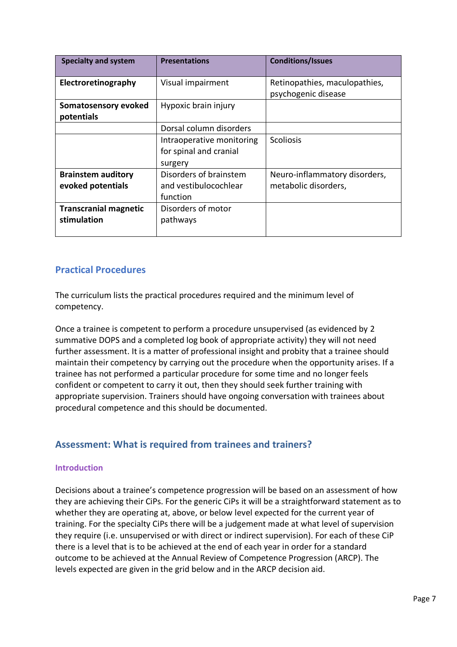| <b>Specialty and system</b>                 | <b>Presentations</b>                                           | <b>Conditions/Issues</b>                             |
|---------------------------------------------|----------------------------------------------------------------|------------------------------------------------------|
| Electroretinography                         | Visual impairment                                              | Retinopathies, maculopathies,<br>psychogenic disease |
| Somatosensory evoked<br>potentials          | Hypoxic brain injury                                           |                                                      |
|                                             | Dorsal column disorders                                        |                                                      |
|                                             | Intraoperative monitoring<br>for spinal and cranial<br>surgery | <b>Scoliosis</b>                                     |
| <b>Brainstem auditory</b>                   | Disorders of brainstem                                         | Neuro-inflammatory disorders,                        |
| evoked potentials                           | and vestibulocochlear<br>function                              | metabolic disorders,                                 |
| <b>Transcranial magnetic</b><br>stimulation | Disorders of motor<br>pathways                                 |                                                      |

## **Practical Procedures**

The curriculum lists the practical procedures required and the minimum level of competency.

Once a trainee is competent to perform a procedure unsupervised (as evidenced by 2 summative DOPS and a completed log book of appropriate activity) they will not need further assessment. It is a matter of professional insight and probity that a trainee should maintain their competency by carrying out the procedure when the opportunity arises. If a trainee has not performed a particular procedure for some time and no longer feels confident or competent to carry it out, then they should seek further training with appropriate supervision. Trainers should have ongoing conversation with trainees about procedural competence and this should be documented.

## <span id="page-6-0"></span>**Assessment: What is required from trainees and trainers?**

#### **Introduction**

Decisions about a trainee's competence progression will be based on an assessment of how they are achieving their CiPs. For the generic CiPs it will be a straightforward statement as to whether they are operating at, above, or below level expected for the current year of training. For the specialty CiPs there will be a judgement made at what level of supervision they require (i.e. unsupervised or with direct or indirect supervision). For each of these CiP there is a level that is to be achieved at the end of each year in order for a standard outcome to be achieved at the Annual Review of Competence Progression (ARCP). The levels expected are given in the grid below and in the ARCP decision aid.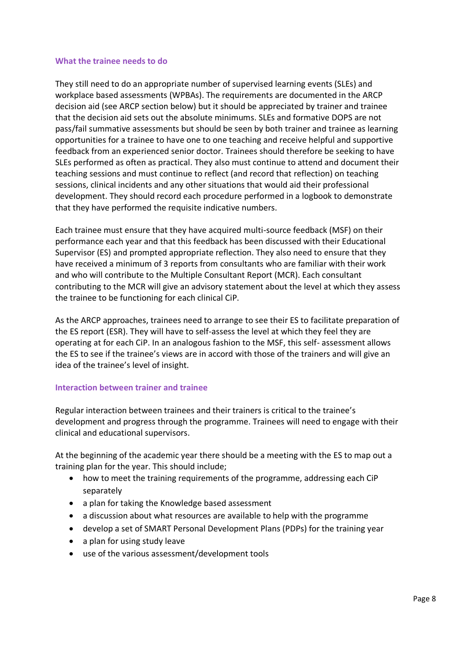#### **What the trainee needs to do**

They still need to do an appropriate number of supervised learning events (SLEs) and workplace based assessments (WPBAs). The requirements are documented in the ARCP decision aid (see ARCP section below) but it should be appreciated by trainer and trainee that the decision aid sets out the absolute minimums. SLEs and formative DOPS are not pass/fail summative assessments but should be seen by both trainer and trainee as learning opportunities for a trainee to have one to one teaching and receive helpful and supportive feedback from an experienced senior doctor. Trainees should therefore be seeking to have SLEs performed as often as practical. They also must continue to attend and document their teaching sessions and must continue to reflect (and record that reflection) on teaching sessions, clinical incidents and any other situations that would aid their professional development. They should record each procedure performed in a logbook to demonstrate that they have performed the requisite indicative numbers.

Each trainee must ensure that they have acquired multi-source feedback (MSF) on their performance each year and that this feedback has been discussed with their Educational Supervisor (ES) and prompted appropriate reflection. They also need to ensure that they have received a minimum of 3 reports from consultants who are familiar with their work and who will contribute to the Multiple Consultant Report (MCR). Each consultant contributing to the MCR will give an advisory statement about the level at which they assess the trainee to be functioning for each clinical CiP.

As the ARCP approaches, trainees need to arrange to see their ES to facilitate preparation of the ES report (ESR). They will have to self-assess the level at which they feel they are operating at for each CiP. In an analogous fashion to the MSF, this self- assessment allows the ES to see if the trainee's views are in accord with those of the trainers and will give an idea of the trainee's level of insight.

#### **Interaction between trainer and trainee**

Regular interaction between trainees and their trainers is critical to the trainee's development and progress through the programme. Trainees will need to engage with their clinical and educational supervisors.

At the beginning of the academic year there should be a meeting with the ES to map out a training plan for the year. This should include;

- how to meet the training requirements of the programme, addressing each CiP separately
- a plan for taking the Knowledge based assessment
- a discussion about what resources are available to help with the programme
- develop a set of SMART Personal Development Plans (PDPs) for the training year
- a plan for using study leave
- use of the various assessment/development tools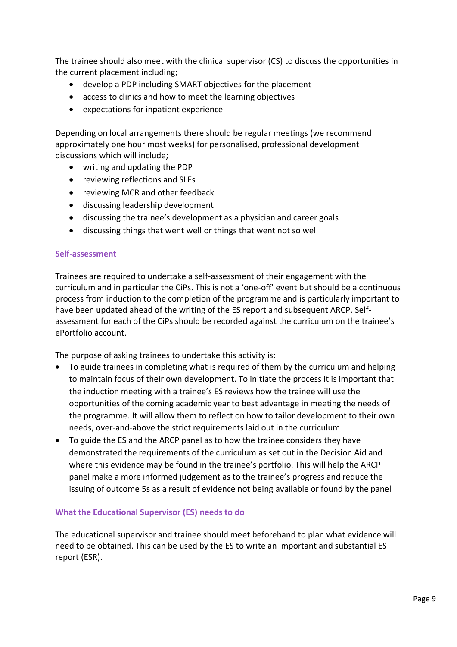The trainee should also meet with the clinical supervisor (CS) to discuss the opportunities in the current placement including;

- develop a PDP including SMART objectives for the placement
- access to clinics and how to meet the learning objectives
- expectations for inpatient experience

Depending on local arrangements there should be regular meetings (we recommend approximately one hour most weeks) for personalised, professional development discussions which will include;

- writing and updating the PDP
- reviewing reflections and SLEs
- reviewing MCR and other feedback
- discussing leadership development
- discussing the trainee's development as a physician and career goals
- discussing things that went well or things that went not so well

#### **Self-assessment**

Trainees are required to undertake a self-assessment of their engagement with the curriculum and in particular the CiPs. This is not a 'one-off' event but should be a continuous process from induction to the completion of the programme and is particularly important to have been updated ahead of the writing of the ES report and subsequent ARCP. Selfassessment for each of the CiPs should be recorded against the curriculum on the trainee's ePortfolio account.

The purpose of asking trainees to undertake this activity is:

- To guide trainees in completing what is required of them by the curriculum and helping to maintain focus of their own development. To initiate the process it is important that the induction meeting with a trainee's ES reviews how the trainee will use the opportunities of the coming academic year to best advantage in meeting the needs of the programme. It will allow them to reflect on how to tailor development to their own needs, over-and-above the strict requirements laid out in the curriculum
- To guide the ES and the ARCP panel as to how the trainee considers they have demonstrated the requirements of the curriculum as set out in the Decision Aid and where this evidence may be found in the trainee's portfolio. This will help the ARCP panel make a more informed judgement as to the trainee's progress and reduce the issuing of outcome 5s as a result of evidence not being available or found by the panel

#### **What the Educational Supervisor (ES) needs to do**

The educational supervisor and trainee should meet beforehand to plan what evidence will need to be obtained. This can be used by the ES to write an important and substantial ES report (ESR).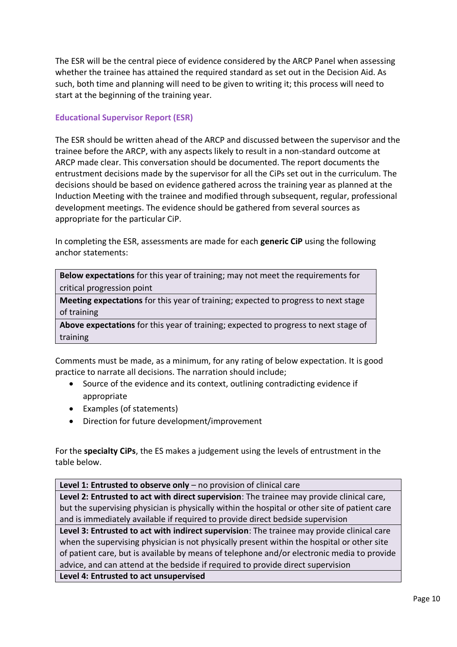The ESR will be the central piece of evidence considered by the ARCP Panel when assessing whether the trainee has attained the required standard as set out in the Decision Aid. As such, both time and planning will need to be given to writing it; this process will need to start at the beginning of the training year.

#### **Educational Supervisor Report (ESR)**

The ESR should be written ahead of the ARCP and discussed between the supervisor and the trainee before the ARCP, with any aspects likely to result in a non-standard outcome at ARCP made clear. This conversation should be documented. The report documents the entrustment decisions made by the supervisor for all the CiPs set out in the curriculum. The decisions should be based on evidence gathered across the training year as planned at the Induction Meeting with the trainee and modified through subsequent, regular, professional development meetings. The evidence should be gathered from several sources as appropriate for the particular CiP.

In completing the ESR, assessments are made for each **generic CiP** using the following anchor statements:

**Below expectations** for this year of training; may not meet the requirements for critical progression point

**Meeting expectations** for this year of training; expected to progress to next stage of training

**Above expectations** for this year of training; expected to progress to next stage of training

Comments must be made, as a minimum, for any rating of below expectation. It is good practice to narrate all decisions. The narration should include;

- Source of the evidence and its context, outlining contradicting evidence if appropriate
- Examples (of statements)
- Direction for future development/improvement

For the **specialty CiPs**, the ES makes a judgement using the levels of entrustment in the table below.

**Level 1: Entrusted to observe only** – no provision of clinical care

**Level 2: Entrusted to act with direct supervision**: The trainee may provide clinical care, but the supervising physician is physically within the hospital or other site of patient care and is immediately available if required to provide direct bedside supervision

**Level 3: Entrusted to act with indirect supervision**: The trainee may provide clinical care when the supervising physician is not physically present within the hospital or other site of patient care, but is available by means of telephone and/or electronic media to provide advice, and can attend at the bedside if required to provide direct supervision **Level 4: Entrusted to act unsupervised**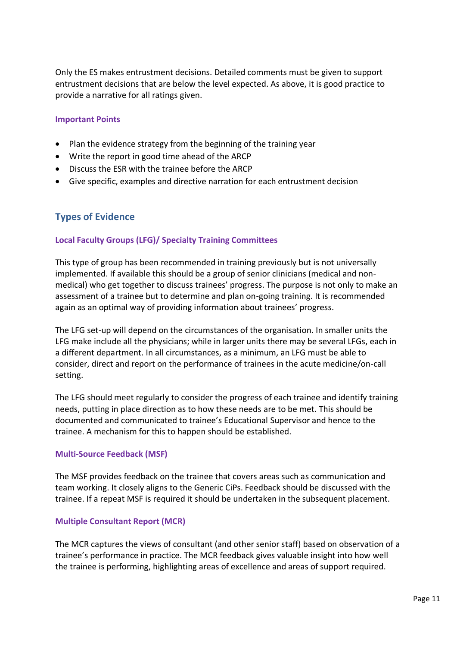Only the ES makes entrustment decisions. Detailed comments must be given to support entrustment decisions that are below the level expected. As above, it is good practice to provide a narrative for all ratings given.

#### **Important Points**

- Plan the evidence strategy from the beginning of the training year
- Write the report in good time ahead of the ARCP
- Discuss the ESR with the trainee before the ARCP
- Give specific, examples and directive narration for each entrustment decision

#### <span id="page-10-0"></span>**Types of Evidence**

#### **Local Faculty Groups (LFG)/ Specialty Training Committees**

This type of group has been recommended in training previously but is not universally implemented. If available this should be a group of senior clinicians (medical and nonmedical) who get together to discuss trainees' progress. The purpose is not only to make an assessment of a trainee but to determine and plan on-going training. It is recommended again as an optimal way of providing information about trainees' progress.

The LFG set-up will depend on the circumstances of the organisation. In smaller units the LFG make include all the physicians; while in larger units there may be several LFGs, each in a different department. In all circumstances, as a minimum, an LFG must be able to consider, direct and report on the performance of trainees in the acute medicine/on-call setting.

The LFG should meet regularly to consider the progress of each trainee and identify training needs, putting in place direction as to how these needs are to be met. This should be documented and communicated to trainee's Educational Supervisor and hence to the trainee. A mechanism for this to happen should be established.

#### **Multi-Source Feedback (MSF)**

The MSF provides feedback on the trainee that covers areas such as communication and team working. It closely aligns to the Generic CiPs. Feedback should be discussed with the trainee. If a repeat MSF is required it should be undertaken in the subsequent placement.

#### **Multiple Consultant Report (MCR)**

The MCR captures the views of consultant (and other senior staff) based on observation of a trainee's performance in practice. The MCR feedback gives valuable insight into how well the trainee is performing, highlighting areas of excellence and areas of support required.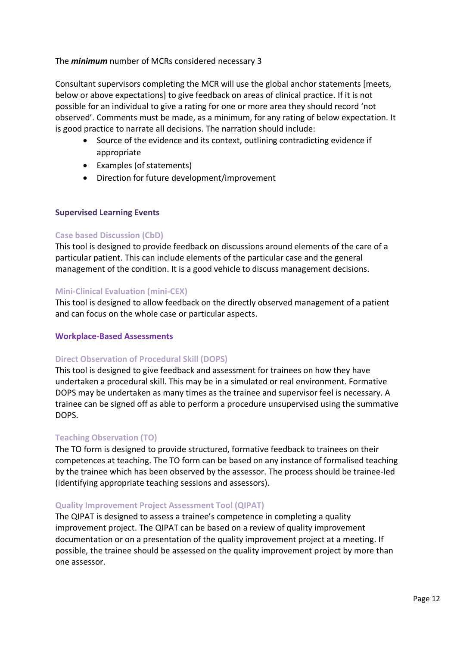#### The *minimum* number of MCRs considered necessary 3

Consultant supervisors completing the MCR will use the global anchor statements [meets, below or above expectations] to give feedback on areas of clinical practice. If it is not possible for an individual to give a rating for one or more area they should record 'not observed'. Comments must be made, as a minimum, for any rating of below expectation. It is good practice to narrate all decisions. The narration should include:

- Source of the evidence and its context, outlining contradicting evidence if appropriate
- Examples (of statements)
- Direction for future development/improvement

#### **Supervised Learning Events**

#### **Case based Discussion (CbD)**

This tool is designed to provide feedback on discussions around elements of the care of a particular patient. This can include elements of the particular case and the general management of the condition. It is a good vehicle to discuss management decisions.

#### **Mini-Clinical Evaluation (mini-CEX)**

This tool is designed to allow feedback on the directly observed management of a patient and can focus on the whole case or particular aspects.

#### **Workplace-Based Assessments**

#### **Direct Observation of Procedural Skill (DOPS)**

This tool is designed to give feedback and assessment for trainees on how they have undertaken a procedural skill. This may be in a simulated or real environment. Formative DOPS may be undertaken as many times as the trainee and supervisor feel is necessary. A trainee can be signed off as able to perform a procedure unsupervised using the summative DOPS.

#### **Teaching Observation (TO)**

The TO form is designed to provide structured, formative feedback to trainees on their competences at teaching. The TO form can be based on any instance of formalised teaching by the trainee which has been observed by the assessor. The process should be trainee-led (identifying appropriate teaching sessions and assessors).

#### **Quality Improvement Project Assessment Tool (QIPAT)**

The QIPAT is designed to assess a trainee's competence in completing a quality improvement project. The QIPAT can be based on a review of quality improvement documentation or on a presentation of the quality improvement project at a meeting. If possible, the trainee should be assessed on the quality improvement project by more than one assessor.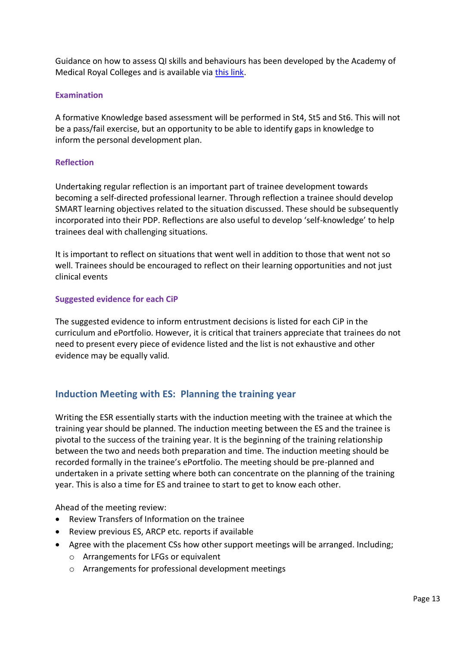Guidance on how to assess QI skills and behaviours has been developed by the Academy of Medical Royal Colleges and is available via [this link.](https://www.aomrc.org.uk/wp-content/uploads/2019/06/Developing_QI_into_practice_0619.pdf)

#### **Examination**

A formative Knowledge based assessment will be performed in St4, St5 and St6. This will not be a pass/fail exercise, but an opportunity to be able to identify gaps in knowledge to inform the personal development plan.

#### **Reflection**

Undertaking regular reflection is an important part of trainee development towards becoming a self-directed professional learner. Through reflection a trainee should develop SMART learning objectives related to the situation discussed. These should be subsequently incorporated into their PDP. Reflections are also useful to develop 'self-knowledge' to help trainees deal with challenging situations.

It is important to reflect on situations that went well in addition to those that went not so well. Trainees should be encouraged to reflect on their learning opportunities and not just clinical events

#### **Suggested evidence for each CiP**

The suggested evidence to inform entrustment decisions is listed for each CiP in the curriculum and ePortfolio. However, it is critical that trainers appreciate that trainees do not need to present every piece of evidence listed and the list is not exhaustive and other evidence may be equally valid.

## <span id="page-12-0"></span>**Induction Meeting with ES: Planning the training year**

Writing the ESR essentially starts with the induction meeting with the trainee at which the training year should be planned. The induction meeting between the ES and the trainee is pivotal to the success of the training year. It is the beginning of the training relationship between the two and needs both preparation and time. The induction meeting should be recorded formally in the trainee's ePortfolio. The meeting should be pre-planned and undertaken in a private setting where both can concentrate on the planning of the training year. This is also a time for ES and trainee to start to get to know each other.

Ahead of the meeting review:

- Review Transfers of Information on the trainee
- Review previous ES, ARCP etc. reports if available
- Agree with the placement CSs how other support meetings will be arranged. Including;
	- o Arrangements for LFGs or equivalent
	- o Arrangements for professional development meetings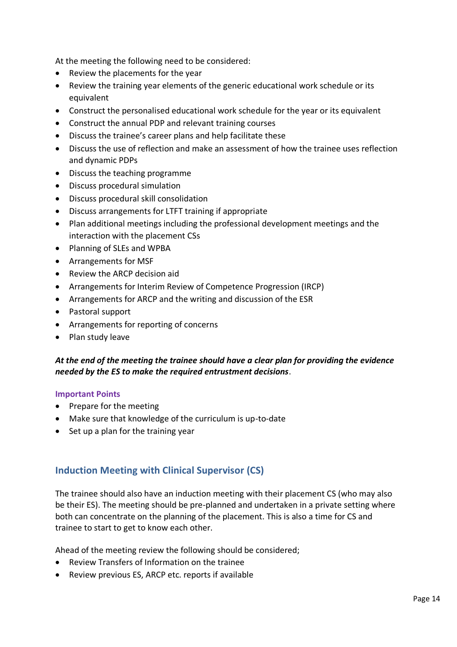At the meeting the following need to be considered:

- Review the placements for the year
- Review the training year elements of the generic educational work schedule or its equivalent
- Construct the personalised educational work schedule for the year or its equivalent
- Construct the annual PDP and relevant training courses
- Discuss the trainee's career plans and help facilitate these
- Discuss the use of reflection and make an assessment of how the trainee uses reflection and dynamic PDPs
- Discuss the teaching programme
- Discuss procedural simulation
- Discuss procedural skill consolidation
- Discuss arrangements for LTFT training if appropriate
- Plan additional meetings including the professional development meetings and the interaction with the placement CSs
- Planning of SLEs and WPBA
- Arrangements for MSF
- Review the ARCP decision aid
- Arrangements for Interim Review of Competence Progression (IRCP)
- Arrangements for ARCP and the writing and discussion of the ESR
- Pastoral support
- Arrangements for reporting of concerns
- Plan study leave

#### *At the end of the meeting the trainee should have a clear plan for providing the evidence needed by the ES to make the required entrustment decisions*.

#### **Important Points**

- Prepare for the meeting
- Make sure that knowledge of the curriculum is up-to-date
- Set up a plan for the training year

## <span id="page-13-0"></span>**Induction Meeting with Clinical Supervisor (CS)**

The trainee should also have an induction meeting with their placement CS (who may also be their ES). The meeting should be pre-planned and undertaken in a private setting where both can concentrate on the planning of the placement. This is also a time for CS and trainee to start to get to know each other.

Ahead of the meeting review the following should be considered;

- Review Transfers of Information on the trainee
- Review previous ES, ARCP etc. reports if available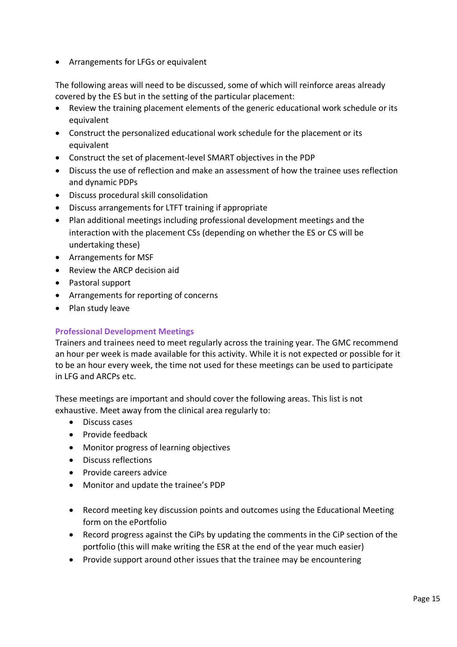• Arrangements for LFGs or equivalent

The following areas will need to be discussed, some of which will reinforce areas already covered by the ES but in the setting of the particular placement:

- Review the training placement elements of the generic educational work schedule or its equivalent
- Construct the personalized educational work schedule for the placement or its equivalent
- Construct the set of placement-level SMART objectives in the PDP
- Discuss the use of reflection and make an assessment of how the trainee uses reflection and dynamic PDPs
- Discuss procedural skill consolidation
- Discuss arrangements for LTFT training if appropriate
- Plan additional meetings including professional development meetings and the interaction with the placement CSs (depending on whether the ES or CS will be undertaking these)
- Arrangements for MSF
- Review the ARCP decision aid
- Pastoral support
- Arrangements for reporting of concerns
- Plan study leave

#### <span id="page-14-0"></span>**Professional Development Meetings**

Trainers and trainees need to meet regularly across the training year. The GMC recommend an hour per week is made available for this activity. While it is not expected or possible for it to be an hour every week, the time not used for these meetings can be used to participate in LFG and ARCPs etc.

These meetings are important and should cover the following areas. This list is not exhaustive. Meet away from the clinical area regularly to:

- Discuss cases
- Provide feedback
- Monitor progress of learning objectives
- Discuss reflections
- Provide careers advice
- Monitor and update the trainee's PDP
- Record meeting key discussion points and outcomes using the Educational Meeting form on the ePortfolio
- Record progress against the CiPs by updating the comments in the CiP section of the portfolio (this will make writing the ESR at the end of the year much easier)
- Provide support around other issues that the trainee may be encountering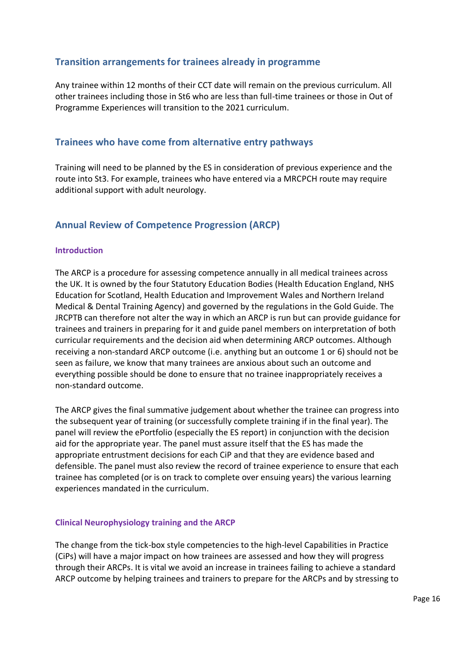## <span id="page-15-0"></span>**Transition arrangements for trainees already in programme**

Any trainee within 12 months of their CCT date will remain on the previous curriculum. All other trainees including those in St6 who are less than full-time trainees or those in Out of Programme Experiences will transition to the 2021 curriculum.

### <span id="page-15-1"></span>**Trainees who have come from alternative entry pathways**

Training will need to be planned by the ES in consideration of previous experience and the route into St3. For example, trainees who have entered via a MRCPCH route may require additional support with adult neurology.

## <span id="page-15-2"></span>**Annual Review of Competence Progression (ARCP)**

#### **Introduction**

The ARCP is a procedure for assessing competence annually in all medical trainees across the UK. It is owned by the four Statutory Education Bodies (Health Education England, NHS Education for Scotland, Health Education and Improvement Wales and Northern Ireland Medical & Dental Training Agency) and governed by the regulations in the Gold Guide. The JRCPTB can therefore not alter the way in which an ARCP is run but can provide guidance for trainees and trainers in preparing for it and guide panel members on interpretation of both curricular requirements and the decision aid when determining ARCP outcomes. Although receiving a non-standard ARCP outcome (i.e. anything but an outcome 1 or 6) should not be seen as failure, we know that many trainees are anxious about such an outcome and everything possible should be done to ensure that no trainee inappropriately receives a non-standard outcome.

The ARCP gives the final summative judgement about whether the trainee can progress into the subsequent year of training (or successfully complete training if in the final year). The panel will review the ePortfolio (especially the ES report) in conjunction with the decision aid for the appropriate year. The panel must assure itself that the ES has made the appropriate entrustment decisions for each CiP and that they are evidence based and defensible. The panel must also review the record of trainee experience to ensure that each trainee has completed (or is on track to complete over ensuing years) the various learning experiences mandated in the curriculum.

#### **Clinical Neurophysiology training and the ARCP**

The change from the tick-box style competencies to the high-level Capabilities in Practice (CiPs) will have a major impact on how trainees are assessed and how they will progress through their ARCPs. It is vital we avoid an increase in trainees failing to achieve a standard ARCP outcome by helping trainees and trainers to prepare for the ARCPs and by stressing to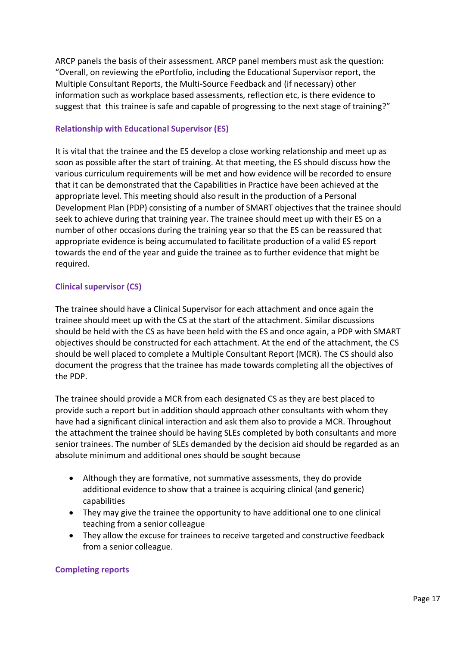ARCP panels the basis of their assessment. ARCP panel members must ask the question: "Overall, on reviewing the ePortfolio, including the Educational Supervisor report, the Multiple Consultant Reports, the Multi-Source Feedback and (if necessary) other information such as workplace based assessments, reflection etc, is there evidence to suggest that this trainee is safe and capable of progressing to the next stage of training?"

#### **Relationship with Educational Supervisor (ES)**

It is vital that the trainee and the ES develop a close working relationship and meet up as soon as possible after the start of training. At that meeting, the ES should discuss how the various curriculum requirements will be met and how evidence will be recorded to ensure that it can be demonstrated that the Capabilities in Practice have been achieved at the appropriate level. This meeting should also result in the production of a Personal Development Plan (PDP) consisting of a number of SMART objectives that the trainee should seek to achieve during that training year. The trainee should meet up with their ES on a number of other occasions during the training year so that the ES can be reassured that appropriate evidence is being accumulated to facilitate production of a valid ES report towards the end of the year and guide the trainee as to further evidence that might be required.

#### **Clinical supervisor (CS)**

The trainee should have a Clinical Supervisor for each attachment and once again the trainee should meet up with the CS at the start of the attachment. Similar discussions should be held with the CS as have been held with the ES and once again, a PDP with SMART objectives should be constructed for each attachment. At the end of the attachment, the CS should be well placed to complete a Multiple Consultant Report (MCR). The CS should also document the progress that the trainee has made towards completing all the objectives of the PDP.

The trainee should provide a MCR from each designated CS as they are best placed to provide such a report but in addition should approach other consultants with whom they have had a significant clinical interaction and ask them also to provide a MCR. Throughout the attachment the trainee should be having SLEs completed by both consultants and more senior trainees. The number of SLEs demanded by the decision aid should be regarded as an absolute minimum and additional ones should be sought because

- Although they are formative, not summative assessments, they do provide additional evidence to show that a trainee is acquiring clinical (and generic) capabilities
- They may give the trainee the opportunity to have additional one to one clinical teaching from a senior colleague
- They allow the excuse for trainees to receive targeted and constructive feedback from a senior colleague.

#### **Completing reports**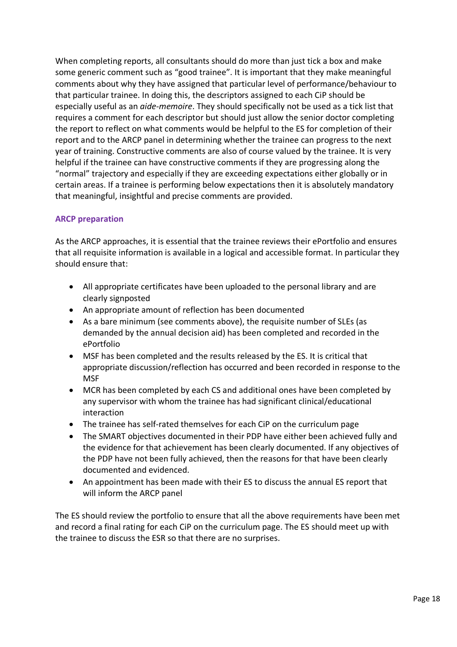When completing reports, all consultants should do more than just tick a box and make some generic comment such as "good trainee". It is important that they make meaningful comments about why they have assigned that particular level of performance/behaviour to that particular trainee. In doing this, the descriptors assigned to each CiP should be especially useful as an *aide-memoire*. They should specifically not be used as a tick list that requires a comment for each descriptor but should just allow the senior doctor completing the report to reflect on what comments would be helpful to the ES for completion of their report and to the ARCP panel in determining whether the trainee can progress to the next year of training. Constructive comments are also of course valued by the trainee. It is very helpful if the trainee can have constructive comments if they are progressing along the "normal" trajectory and especially if they are exceeding expectations either globally or in certain areas. If a trainee is performing below expectations then it is absolutely mandatory that meaningful, insightful and precise comments are provided.

#### **ARCP preparation**

As the ARCP approaches, it is essential that the trainee reviews their ePortfolio and ensures that all requisite information is available in a logical and accessible format. In particular they should ensure that:

- All appropriate certificates have been uploaded to the personal library and are clearly signposted
- An appropriate amount of reflection has been documented
- As a bare minimum (see comments above), the requisite number of SLEs (as demanded by the annual decision aid) has been completed and recorded in the ePortfolio
- MSF has been completed and the results released by the ES. It is critical that appropriate discussion/reflection has occurred and been recorded in response to the **MSF**
- MCR has been completed by each CS and additional ones have been completed by any supervisor with whom the trainee has had significant clinical/educational interaction
- The trainee has self-rated themselves for each CiP on the curriculum page
- The SMART objectives documented in their PDP have either been achieved fully and the evidence for that achievement has been clearly documented. If any objectives of the PDP have not been fully achieved, then the reasons for that have been clearly documented and evidenced.
- An appointment has been made with their ES to discuss the annual ES report that will inform the ARCP panel

The ES should review the portfolio to ensure that all the above requirements have been met and record a final rating for each CiP on the curriculum page. The ES should meet up with the trainee to discuss the ESR so that there are no surprises.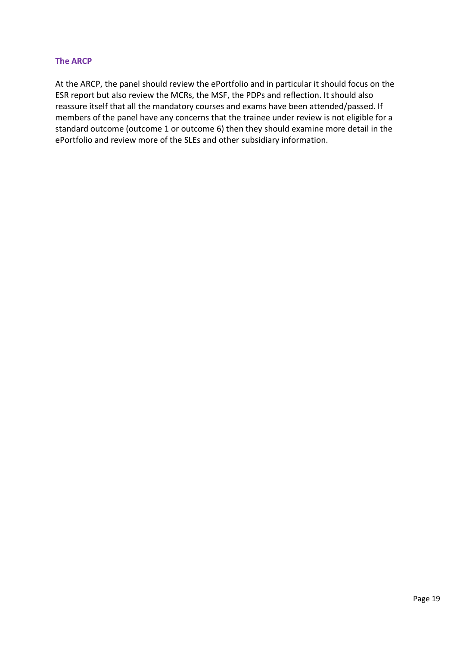#### **The ARCP**

At the ARCP, the panel should review the ePortfolio and in particular it should focus on the ESR report but also review the MCRs, the MSF, the PDPs and reflection. It should also reassure itself that all the mandatory courses and exams have been attended/passed. If members of the panel have any concerns that the trainee under review is not eligible for a standard outcome (outcome 1 or outcome 6) then they should examine more detail in the ePortfolio and review more of the SLEs and other subsidiary information.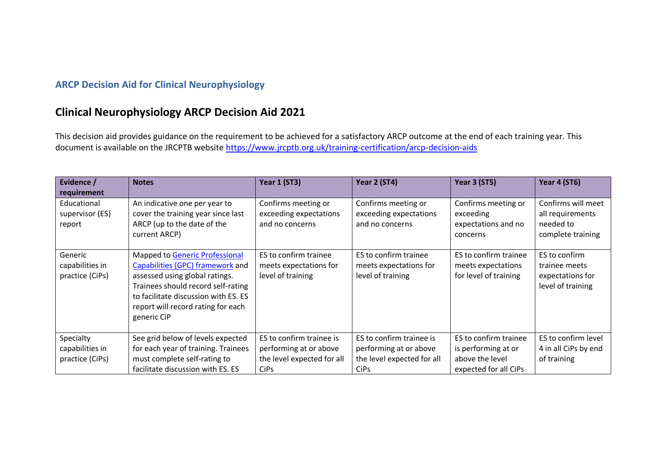## **ARCP Decision Aid for Clinical Neurophysiology**

## **Clinical Neurophysiology ARCP Decision Aid 2021**

This decision aid provides guidance on the requirement to be achieved for a satisfactory ARCP outcome at the end of each training year. This document is available on the JRCPTB website<https://www.jrcptb.org.uk/training-certification/arcp-decision-aids>

<span id="page-19-0"></span>

| Evidence /<br>requirement                       | <b>Notes</b>                                                                                                                                                                                                                            | Year 1 (ST3)                                                                     | Year 2 (ST4)                                                                     | Year 3 (ST5)                                                         | Year 4 (ST6)                                                             |
|-------------------------------------------------|-----------------------------------------------------------------------------------------------------------------------------------------------------------------------------------------------------------------------------------------|----------------------------------------------------------------------------------|----------------------------------------------------------------------------------|----------------------------------------------------------------------|--------------------------------------------------------------------------|
| Educational<br>supervisor (ES)<br>report        | An indicative one per year to<br>cover the training year since last<br>ARCP (up to the date of the<br>current ARCP)                                                                                                                     | Confirms meeting or<br>exceeding expectations<br>and no concerns                 | Confirms meeting or<br>exceeding expectations<br>and no concerns                 | Confirms meeting or<br>exceeding<br>expectations and no<br>concerns  | Confirms will meet<br>all requirements<br>needed to<br>complete training |
| Generic<br>capabilities in<br>practice (CiPs)   | Mapped to Generic Professional<br>Capabilities (GPC) framework and<br>assessed using global ratings.<br>Trainees should record self-rating<br>to facilitate discussion with ES. ES<br>report will record rating for each<br>generic CiP | ES to confirm trainee<br>meets expectations for<br>level of training             | ES to confirm trainee<br>meets expectations for<br>level of training             | ES to confirm trainee<br>meets expectations<br>for level of training | ES to confirm<br>trainee meets<br>expectations for<br>level of training  |
| Specialty<br>capabilities in<br>practice (CiPs) | See grid below of levels expected<br>for each year of training. Trainees<br>must complete self-rating to                                                                                                                                | ES to confirm trainee is<br>performing at or above<br>the level expected for all | ES to confirm trainee is<br>performing at or above<br>the level expected for all | ES to confirm trainee<br>is performing at or<br>above the level      | ES to confirm level<br>4 in all CiPs by end<br>of training               |
|                                                 | facilitate discussion with ES. ES                                                                                                                                                                                                       | CiP <sub>s</sub>                                                                 | CiP <sub>s</sub>                                                                 | expected for all CiPs                                                |                                                                          |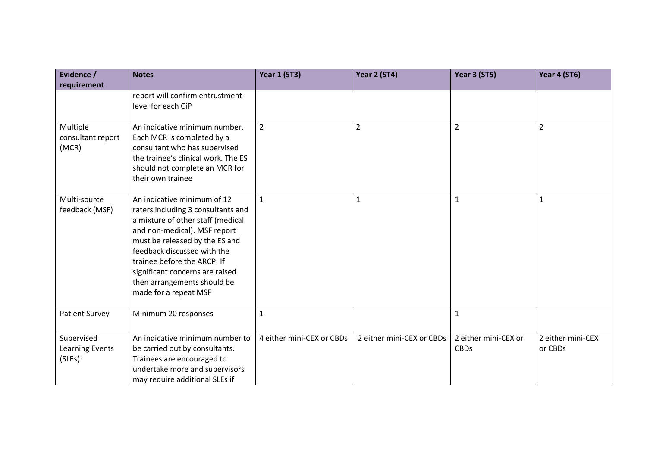| Evidence /                               | <b>Notes</b>                                                                                                                                                                                                                                                                                                                      | <b>Year 1 (ST3)</b>       | Year 2 (ST4)              | Year 3 (ST5)                        | Year 4 (ST6)                 |
|------------------------------------------|-----------------------------------------------------------------------------------------------------------------------------------------------------------------------------------------------------------------------------------------------------------------------------------------------------------------------------------|---------------------------|---------------------------|-------------------------------------|------------------------------|
| requirement                              |                                                                                                                                                                                                                                                                                                                                   |                           |                           |                                     |                              |
|                                          | report will confirm entrustment<br>level for each CiP                                                                                                                                                                                                                                                                             |                           |                           |                                     |                              |
| Multiple<br>consultant report<br>(MCR)   | An indicative minimum number.<br>Each MCR is completed by a<br>consultant who has supervised<br>the trainee's clinical work. The ES<br>should not complete an MCR for<br>their own trainee                                                                                                                                        | $\overline{2}$            | $\overline{2}$            | $\overline{2}$                      | $\overline{2}$               |
| Multi-source<br>feedback (MSF)           | An indicative minimum of 12<br>raters including 3 consultants and<br>a mixture of other staff (medical<br>and non-medical). MSF report<br>must be released by the ES and<br>feedback discussed with the<br>trainee before the ARCP. If<br>significant concerns are raised<br>then arrangements should be<br>made for a repeat MSF | $\mathbf{1}$              | 1                         | $\mathbf{1}$                        | 1                            |
| <b>Patient Survey</b>                    | Minimum 20 responses                                                                                                                                                                                                                                                                                                              | $\mathbf{1}$              |                           | $\mathbf{1}$                        |                              |
| Supervised<br>Learning Events<br>(SLES): | An indicative minimum number to<br>be carried out by consultants.<br>Trainees are encouraged to<br>undertake more and supervisors<br>may require additional SLEs if                                                                                                                                                               | 4 either mini-CEX or CBDs | 2 either mini-CEX or CBDs | 2 either mini-CEX or<br><b>CBDs</b> | 2 either mini-CEX<br>or CBDs |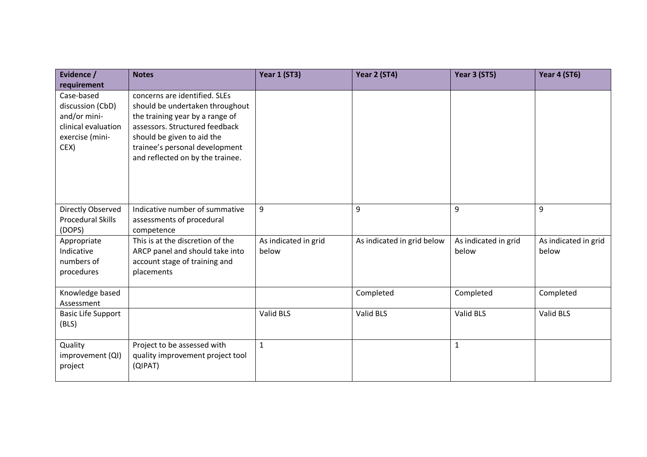| Evidence /                                                                                                      | <b>Notes</b>                                                                                                                                                                                                                              | <b>Year 1 (ST3)</b>           | Year 2 (ST4)               | <b>Year 3 (ST5)</b>           | Year 4 (ST6)                  |
|-----------------------------------------------------------------------------------------------------------------|-------------------------------------------------------------------------------------------------------------------------------------------------------------------------------------------------------------------------------------------|-------------------------------|----------------------------|-------------------------------|-------------------------------|
| requirement<br>Case-based<br>discussion (CbD)<br>and/or mini-<br>clinical evaluation<br>exercise (mini-<br>CEX) | concerns are identified. SLEs<br>should be undertaken throughout<br>the training year by a range of<br>assessors. Structured feedback<br>should be given to aid the<br>trainee's personal development<br>and reflected on by the trainee. |                               |                            |                               |                               |
| Directly Observed<br>Procedural Skills<br>(DOPS)                                                                | Indicative number of summative<br>assessments of procedural<br>competence                                                                                                                                                                 | 9                             | 9                          | 9                             | 9                             |
| Appropriate<br>Indicative<br>numbers of<br>procedures                                                           | This is at the discretion of the<br>ARCP panel and should take into<br>account stage of training and<br>placements                                                                                                                        | As indicated in grid<br>below | As indicated in grid below | As indicated in grid<br>below | As indicated in grid<br>below |
| Knowledge based<br>Assessment                                                                                   |                                                                                                                                                                                                                                           |                               | Completed                  | Completed                     | Completed                     |
| <b>Basic Life Support</b><br>(BLS)                                                                              |                                                                                                                                                                                                                                           | Valid BLS                     | Valid BLS                  | Valid BLS                     | Valid BLS                     |
| Quality<br>improvement (QI)<br>project                                                                          | Project to be assessed with<br>quality improvement project tool<br>(QIPAT)                                                                                                                                                                | $\mathbf{1}$                  |                            | $\mathbf 1$                   |                               |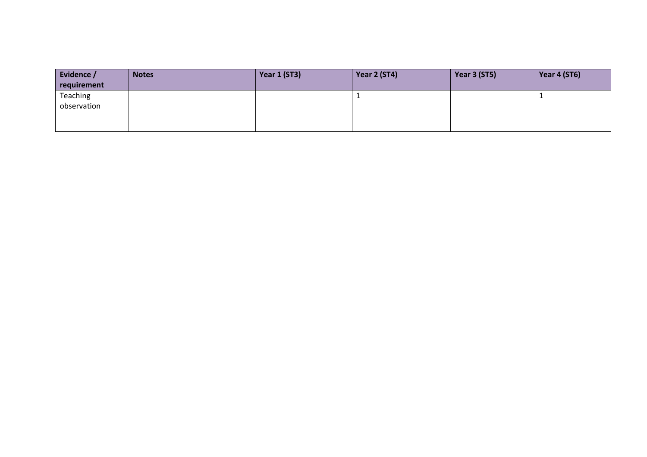| Evidence /  | <b>Notes</b> | Year 1 (ST3) | Year 2 (ST4) | Year 3 (ST5) | Year 4 (ST6) |
|-------------|--------------|--------------|--------------|--------------|--------------|
| requirement |              |              |              |              |              |
| Teaching    |              |              |              |              |              |
| observation |              |              |              |              |              |
|             |              |              |              |              |              |
|             |              |              |              |              |              |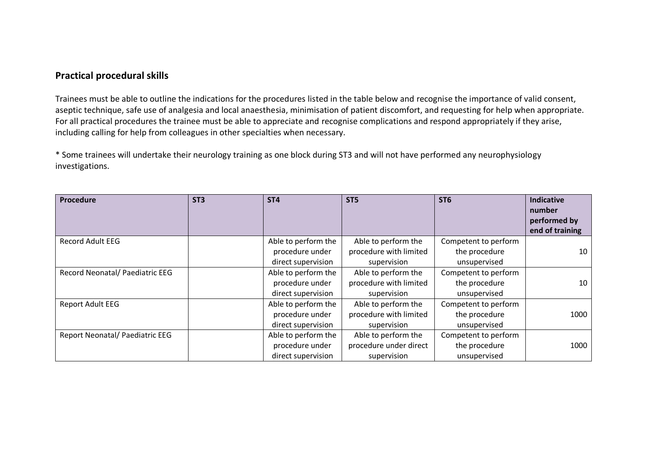#### **Practical procedural skills**

Trainees must be able to outline the indications for the procedures listed in the table below and recognise the importance of valid consent, aseptic technique, safe use of analgesia and local anaesthesia, minimisation of patient discomfort, and requesting for help when appropriate. For all practical procedures the trainee must be able to appreciate and recognise complications and respond appropriately if they arise, including calling for help from colleagues in other specialties when necessary.

\* Some trainees will undertake their neurology training as one block during ST3 and will not have performed any neurophysiology investigations.

| Procedure                       | ST <sub>3</sub> | ST <sub>4</sub>                                              | ST <sub>5</sub>                                              | ST <sub>6</sub>                                       | <b>Indicative</b><br>number<br>performed by<br>end of training |
|---------------------------------|-----------------|--------------------------------------------------------------|--------------------------------------------------------------|-------------------------------------------------------|----------------------------------------------------------------|
| <b>Record Adult EEG</b>         |                 | Able to perform the<br>procedure under<br>direct supervision | Able to perform the<br>procedure with limited<br>supervision | Competent to perform<br>the procedure<br>unsupervised | 10                                                             |
| Record Neonatal/ Paediatric EEG |                 | Able to perform the<br>procedure under<br>direct supervision | Able to perform the<br>procedure with limited<br>supervision | Competent to perform<br>the procedure<br>unsupervised | 10                                                             |
| <b>Report Adult EEG</b>         |                 | Able to perform the<br>procedure under<br>direct supervision | Able to perform the<br>procedure with limited<br>supervision | Competent to perform<br>the procedure<br>unsupervised | 1000                                                           |
| Report Neonatal/ Paediatric EEG |                 | Able to perform the<br>procedure under<br>direct supervision | Able to perform the<br>procedure under direct<br>supervision | Competent to perform<br>the procedure<br>unsupervised | 1000                                                           |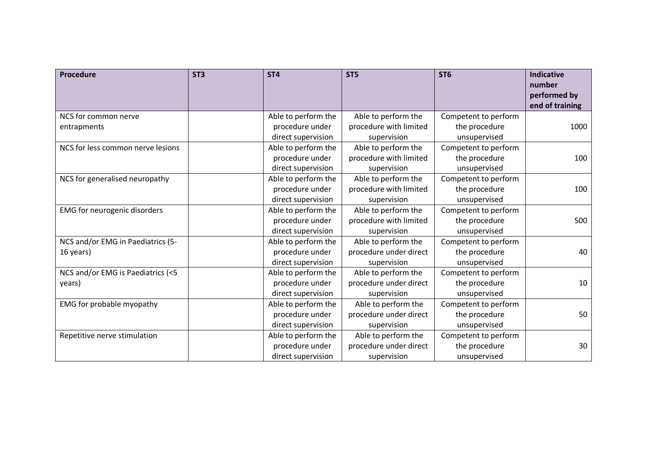| Procedure                         | ST <sub>3</sub> | ST <sub>4</sub>     | ST <sub>5</sub>        | ST <sub>6</sub>      | <b>Indicative</b><br>number     |
|-----------------------------------|-----------------|---------------------|------------------------|----------------------|---------------------------------|
|                                   |                 |                     |                        |                      | performed by<br>end of training |
| NCS for common nerve              |                 | Able to perform the | Able to perform the    | Competent to perform |                                 |
| entrapments                       |                 | procedure under     | procedure with limited | the procedure        | 1000                            |
|                                   |                 | direct supervision  | supervision            | unsupervised         |                                 |
| NCS for less common nerve lesions |                 | Able to perform the | Able to perform the    | Competent to perform |                                 |
|                                   |                 | procedure under     | procedure with limited | the procedure        | 100                             |
|                                   |                 | direct supervision  | supervision            | unsupervised         |                                 |
| NCS for generalised neuropathy    |                 | Able to perform the | Able to perform the    | Competent to perform |                                 |
|                                   |                 | procedure under     | procedure with limited | the procedure        | 100                             |
|                                   |                 | direct supervision  | supervision            | unsupervised         |                                 |
| EMG for neurogenic disorders      |                 | Able to perform the | Able to perform the    | Competent to perform |                                 |
|                                   |                 | procedure under     | procedure with limited | the procedure        | 500                             |
|                                   |                 | direct supervision  | supervision            | unsupervised         |                                 |
| NCS and/or EMG in Paediatrics (5- |                 | Able to perform the | Able to perform the    | Competent to perform |                                 |
| 16 years)                         |                 | procedure under     | procedure under direct | the procedure        | 40                              |
|                                   |                 | direct supervision  | supervision            | unsupervised         |                                 |
| NCS and/or EMG is Paediatrics (<5 |                 | Able to perform the | Able to perform the    | Competent to perform |                                 |
| years)                            |                 | procedure under     | procedure under direct | the procedure        | 10                              |
|                                   |                 | direct supervision  | supervision            | unsupervised         |                                 |
| EMG for probable myopathy         |                 | Able to perform the | Able to perform the    | Competent to perform |                                 |
|                                   |                 | procedure under     | procedure under direct | the procedure        | 50                              |
|                                   |                 | direct supervision  | supervision            | unsupervised         |                                 |
| Repetitive nerve stimulation      |                 | Able to perform the | Able to perform the    | Competent to perform |                                 |
|                                   |                 | procedure under     | procedure under direct | the procedure        | 30                              |
|                                   |                 | direct supervision  | supervision            | unsupervised         |                                 |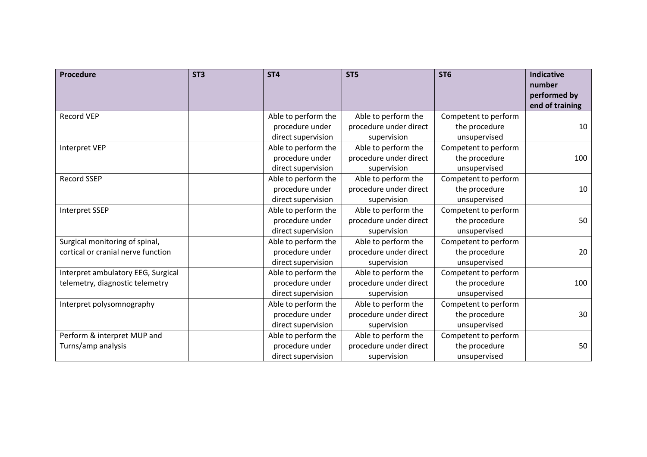| Procedure                          | ST <sub>3</sub> | ST <sub>4</sub>     | ST <sub>5</sub>        | ST <sub>6</sub>      | <b>Indicative</b><br>number     |
|------------------------------------|-----------------|---------------------|------------------------|----------------------|---------------------------------|
|                                    |                 |                     |                        |                      | performed by<br>end of training |
| <b>Record VEP</b>                  |                 | Able to perform the | Able to perform the    | Competent to perform |                                 |
|                                    |                 | procedure under     | procedure under direct | the procedure        | 10                              |
|                                    |                 | direct supervision  | supervision            | unsupervised         |                                 |
| <b>Interpret VEP</b>               |                 | Able to perform the | Able to perform the    | Competent to perform |                                 |
|                                    |                 | procedure under     | procedure under direct | the procedure        | 100                             |
|                                    |                 | direct supervision  | supervision            | unsupervised         |                                 |
| <b>Record SSEP</b>                 |                 | Able to perform the | Able to perform the    | Competent to perform |                                 |
|                                    |                 | procedure under     | procedure under direct | the procedure        | 10                              |
|                                    |                 | direct supervision  | supervision            | unsupervised         |                                 |
| <b>Interpret SSEP</b>              |                 | Able to perform the | Able to perform the    | Competent to perform |                                 |
|                                    |                 | procedure under     | procedure under direct | the procedure        | 50                              |
|                                    |                 | direct supervision  | supervision            | unsupervised         |                                 |
| Surgical monitoring of spinal,     |                 | Able to perform the | Able to perform the    | Competent to perform |                                 |
| cortical or cranial nerve function |                 | procedure under     | procedure under direct | the procedure        | 20                              |
|                                    |                 | direct supervision  | supervision            | unsupervised         |                                 |
| Interpret ambulatory EEG, Surgical |                 | Able to perform the | Able to perform the    | Competent to perform |                                 |
| telemetry, diagnostic telemetry    |                 | procedure under     | procedure under direct | the procedure        | 100                             |
|                                    |                 | direct supervision  | supervision            | unsupervised         |                                 |
| Interpret polysomnography          |                 | Able to perform the | Able to perform the    | Competent to perform |                                 |
|                                    |                 | procedure under     | procedure under direct | the procedure        | 30                              |
|                                    |                 | direct supervision  | supervision            | unsupervised         |                                 |
| Perform & interpret MUP and        |                 | Able to perform the | Able to perform the    | Competent to perform |                                 |
| Turns/amp analysis                 |                 | procedure under     | procedure under direct | the procedure        | 50                              |
|                                    |                 | direct supervision  | supervision            | unsupervised         |                                 |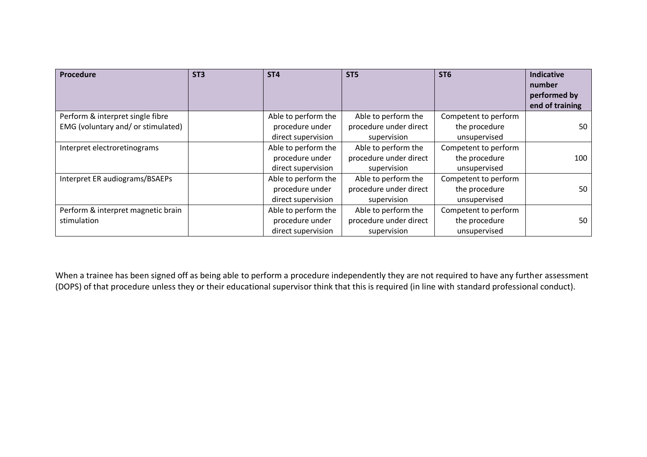| Procedure                          | ST <sub>3</sub> | ST <sub>4</sub>     | ST <sub>5</sub>        | ST <sub>6</sub>      | <b>Indicative</b> |
|------------------------------------|-----------------|---------------------|------------------------|----------------------|-------------------|
|                                    |                 |                     |                        |                      | number            |
|                                    |                 |                     |                        |                      | performed by      |
|                                    |                 |                     |                        |                      | end of training   |
| Perform & interpret single fibre   |                 | Able to perform the | Able to perform the    | Competent to perform |                   |
| EMG (voluntary and/ or stimulated) |                 | procedure under     | procedure under direct | the procedure        | 50                |
|                                    |                 | direct supervision  | supervision            | unsupervised         |                   |
| Interpret electroretinograms       |                 | Able to perform the | Able to perform the    | Competent to perform |                   |
|                                    |                 | procedure under     | procedure under direct | the procedure        | 100               |
|                                    |                 | direct supervision  | supervision            | unsupervised         |                   |
| Interpret ER audiograms/BSAEPs     |                 | Able to perform the | Able to perform the    | Competent to perform |                   |
|                                    |                 | procedure under     | procedure under direct | the procedure        | 50                |
|                                    |                 | direct supervision  | supervision            | unsupervised         |                   |
| Perform & interpret magnetic brain |                 | Able to perform the | Able to perform the    | Competent to perform |                   |
| stimulation                        |                 | procedure under     | procedure under direct | the procedure        | 50                |
|                                    |                 | direct supervision  | supervision            | unsupervised         |                   |

When a trainee has been signed off as being able to perform a procedure independently they are not required to have any further assessment (DOPS) of that procedure unless they or their educational supervisor think that this is required (in line with standard professional conduct).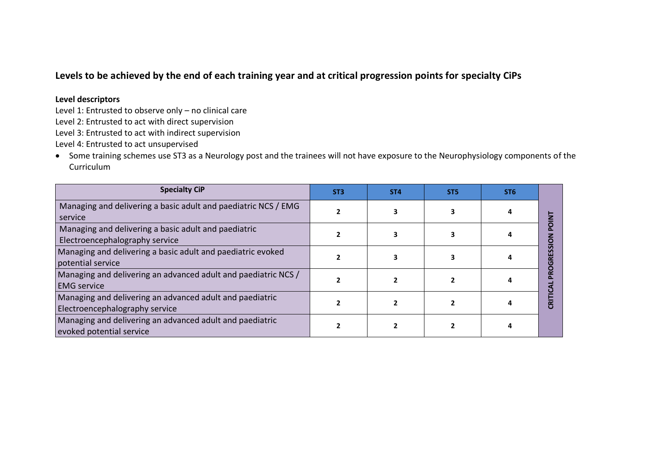## **Levels to be achieved by the end of each training year and at critical progression points for specialty CiPs**

#### **Level descriptors**

Level 1: Entrusted to observe only – no clinical care

Level 2: Entrusted to act with direct supervision

Level 3: Entrusted to act with indirect supervision

Level 4: Entrusted to act unsupervised

• Some training schemes use ST3 as a Neurology post and the trainees will not have exposure to the Neurophysiology components of the Curriculum

| <b>Specialty CiP</b>                                                                       | ST <sub>3</sub> | ST <sub>4</sub> | ST <sub>5</sub> | ST <sub>6</sub> |  |
|--------------------------------------------------------------------------------------------|-----------------|-----------------|-----------------|-----------------|--|
| Managing and delivering a basic adult and paediatric NCS / EMG<br>service                  |                 |                 |                 |                 |  |
| Managing and delivering a basic adult and paediatric<br>Electroencephalography service     |                 |                 |                 |                 |  |
| Managing and delivering a basic adult and paediatric evoked<br>potential service           |                 |                 |                 |                 |  |
| Managing and delivering an advanced adult and paediatric NCS /<br><b>EMG</b> service       |                 |                 |                 |                 |  |
| Managing and delivering an advanced adult and paediatric<br>Electroencephalography service |                 |                 |                 |                 |  |
| Managing and delivering an advanced adult and paediatric<br>evoked potential service       |                 |                 |                 |                 |  |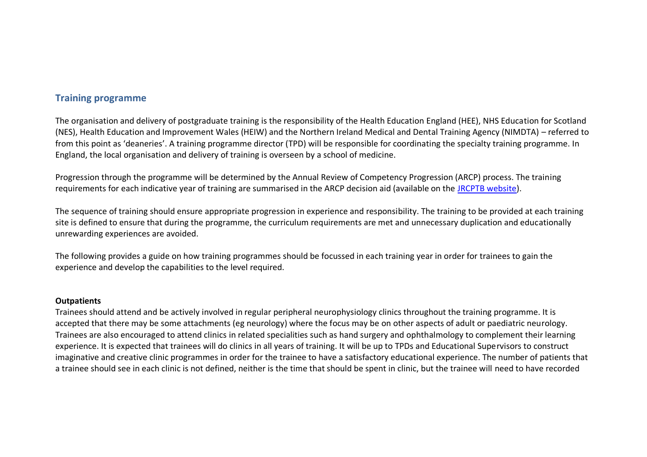#### **Training programme**

The organisation and delivery of postgraduate training is the responsibility of the Health Education England (HEE), NHS Education for Scotland (NES), Health Education and Improvement Wales (HEIW) and the Northern Ireland Medical and Dental Training Agency (NIMDTA) – referred to from this point as 'deaneries'. A training programme director (TPD) will be responsible for coordinating the specialty training programme. In England, the local organisation and delivery of training is overseen by a school of medicine.

Progression through the programme will be determined by the Annual Review of Competency Progression (ARCP) process. The training requirements for each indicative year of training are summarised in the ARCP decision aid (available on the [JRCPTB website\)](http://www.jrcptb.org.uk/).

The sequence of training should ensure appropriate progression in experience and responsibility. The training to be provided at each training site is defined to ensure that during the programme, the curriculum requirements are met and unnecessary duplication and educationally unrewarding experiences are avoided.

<span id="page-28-0"></span>The following provides a guide on how training programmes should be focussed in each training year in order for trainees to gain the experience and develop the capabilities to the level required.

#### **Outpatients**

Trainees should attend and be actively involved in regular peripheral neurophysiology clinics throughout the training programme. It is accepted that there may be some attachments (eg neurology) where the focus may be on other aspects of adult or paediatric neurology. Trainees are also encouraged to attend clinics in related specialities such as hand surgery and ophthalmology to complement their learning experience. It is expected that trainees will do clinics in all years of training. It will be up to TPDs and Educational Supervisors to construct imaginative and creative clinic programmes in order for the trainee to have a satisfactory educational experience. The number of patients that a trainee should see in each clinic is not defined, neither is the time that should be spent in clinic, but the trainee will need to have recorded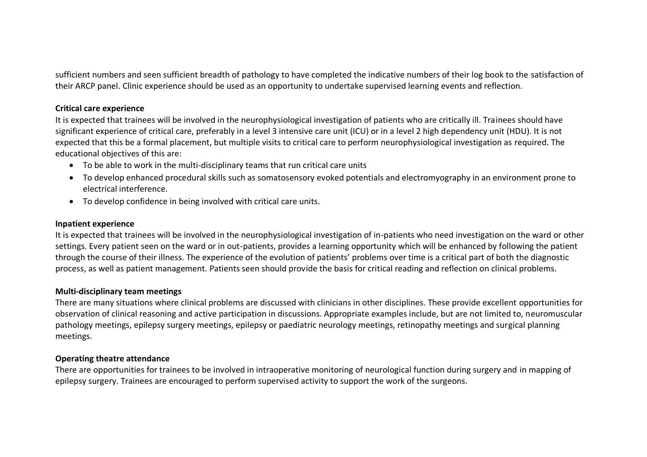sufficient numbers and seen sufficient breadth of pathology to have completed the indicative numbers of their log book to the satisfaction of their ARCP panel. Clinic experience should be used as an opportunity to undertake supervised learning events and reflection.

#### **Critical care experience**

It is expected that trainees will be involved in the neurophysiological investigation of patients who are critically ill. Trainees should have significant experience of critical care, preferably in a level 3 intensive care unit (ICU) or in a level 2 high dependency unit (HDU). It is not expected that this be a formal placement, but multiple visits to critical care to perform neurophysiological investigation as required. The educational objectives of this are:

- To be able to work in the multi-disciplinary teams that run critical care units
- To develop enhanced procedural skills such as somatosensory evoked potentials and electromyography in an environment prone to electrical interference.
- To develop confidence in being involved with critical care units.

#### **Inpatient experience**

It is expected that trainees will be involved in the neurophysiological investigation of in-patients who need investigation on the ward or other settings. Every patient seen on the ward or in out-patients, provides a learning opportunity which will be enhanced by following the patient through the course of their illness. The experience of the evolution of patients' problems over time is a critical part of both the diagnostic process, as well as patient management. Patients seen should provide the basis for critical reading and reflection on clinical problems.

#### **Multi-disciplinary team meetings**

There are many situations where clinical problems are discussed with clinicians in other disciplines. These provide excellent opportunities for observation of clinical reasoning and active participation in discussions. Appropriate examples include, but are not limited to, neuromuscular pathology meetings, epilepsy surgery meetings, epilepsy or paediatric neurology meetings, retinopathy meetings and surgical planning meetings.

#### **Operating theatre attendance**

There are opportunities for trainees to be involved in intraoperative monitoring of neurological function during surgery and in mapping of epilepsy surgery. Trainees are encouraged to perform supervised activity to support the work of the surgeons.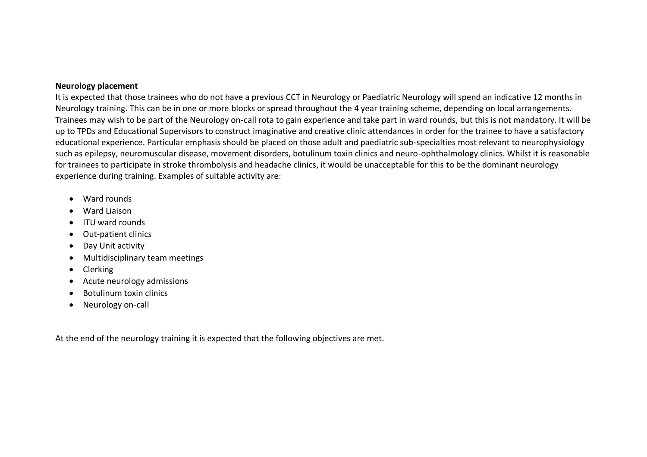#### **Neurology placement**

It is expected that those trainees who do not have a previous CCT in Neurology or Paediatric Neurology will spend an indicative 12 months in Neurology training. This can be in one or more blocks or spread throughout the 4 year training scheme, depending on local arrangements. Trainees may wish to be part of the Neurology on-call rota to gain experience and take part in ward rounds, but this is not mandatory. It will be up to TPDs and Educational Supervisors to construct imaginative and creative clinic attendances in order for the trainee to have a satisfactory educational experience. Particular emphasis should be placed on those adult and paediatric sub-specialties most relevant to neurophysiology such as epilepsy, neuromuscular disease, movement disorders, botulinum toxin clinics and neuro-ophthalmology clinics. Whilst it is reasonable for trainees to participate in stroke thrombolysis and headache clinics, it would be unacceptable for this to be the dominant neurology experience during training. Examples of suitable activity are:

- Ward rounds
- Ward Liaison
- ITU ward rounds
- Out-patient clinics
- Day Unit activity
- Multidisciplinary team meetings
- Clerking
- Acute neurology admissions
- Botulinum toxin clinics
- Neurology on-call

At the end of the neurology training it is expected that the following objectives are met.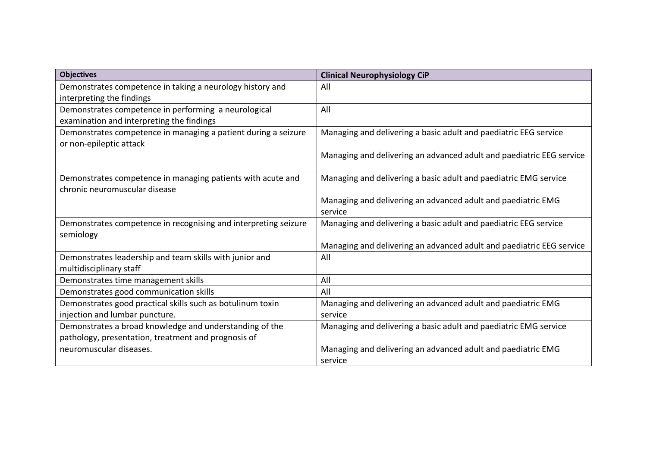| <b>Objectives</b>                                               | <b>Clinical Neurophysiology CiP</b>                                  |
|-----------------------------------------------------------------|----------------------------------------------------------------------|
| Demonstrates competence in taking a neurology history and       | All                                                                  |
| interpreting the findings                                       |                                                                      |
| Demonstrates competence in performing a neurological            | All                                                                  |
| examination and interpreting the findings                       |                                                                      |
| Demonstrates competence in managing a patient during a seizure  | Managing and delivering a basic adult and paediatric EEG service     |
| or non-epileptic attack                                         |                                                                      |
|                                                                 | Managing and delivering an advanced adult and paediatric EEG service |
|                                                                 |                                                                      |
| Demonstrates competence in managing patients with acute and     | Managing and delivering a basic adult and paediatric EMG service     |
| chronic neuromuscular disease                                   |                                                                      |
|                                                                 | Managing and delivering an advanced adult and paediatric EMG         |
|                                                                 | service                                                              |
| Demonstrates competence in recognising and interpreting seizure | Managing and delivering a basic adult and paediatric EEG service     |
| semiology                                                       |                                                                      |
|                                                                 | Managing and delivering an advanced adult and paediatric EEG service |
| Demonstrates leadership and team skills with junior and         | All                                                                  |
| multidisciplinary staff                                         |                                                                      |
| Demonstrates time management skills                             | All                                                                  |
| Demonstrates good communication skills                          | All                                                                  |
| Demonstrates good practical skills such as botulinum toxin      | Managing and delivering an advanced adult and paediatric EMG         |
| injection and lumbar puncture.                                  | service                                                              |
| Demonstrates a broad knowledge and understanding of the         | Managing and delivering a basic adult and paediatric EMG service     |
| pathology, presentation, treatment and prognosis of             |                                                                      |
| neuromuscular diseases.                                         | Managing and delivering an advanced adult and paediatric EMG         |
|                                                                 | service                                                              |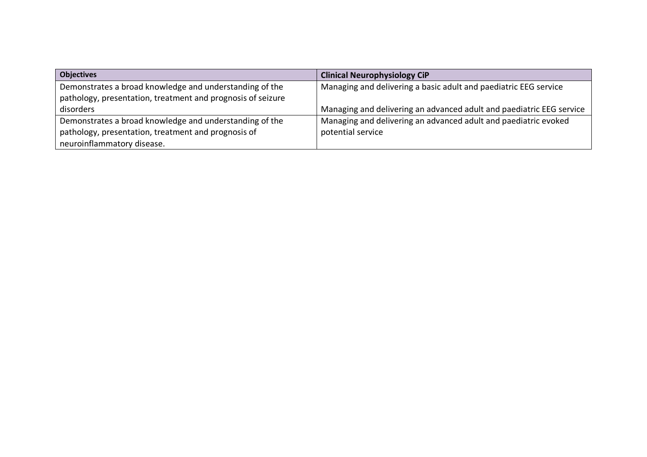| <b>Objectives</b>                                           | <b>Clinical Neurophysiology CiP</b>                                  |
|-------------------------------------------------------------|----------------------------------------------------------------------|
| Demonstrates a broad knowledge and understanding of the     | Managing and delivering a basic adult and paediatric EEG service     |
| pathology, presentation, treatment and prognosis of seizure |                                                                      |
| disorders                                                   | Managing and delivering an advanced adult and paediatric EEG service |
| Demonstrates a broad knowledge and understanding of the     | Managing and delivering an advanced adult and paediatric evoked      |
| pathology, presentation, treatment and prognosis of         | potential service                                                    |
| neuroinflammatory disease.                                  |                                                                      |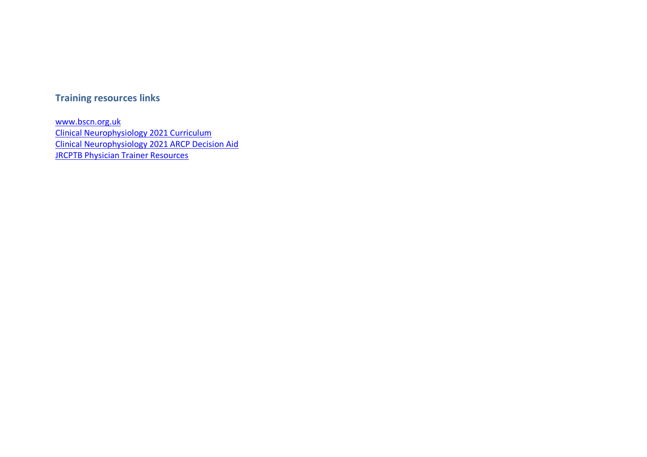## **Training resources links**

<span id="page-33-0"></span>[www.bscn.org.uk](http://www.bscn.org.uk/) [Clinical Neurophysiology 2021 Curriculum](https://www.jrcptb.org.uk/sites/default/files/Clinical%20Neurophysiology%202021%20Curriculum%20FINAL.pdf) [Clinical Neurophysiology 2021 ARCP Decision Aid](https://www.jrcptb.org.uk/sites/default/files/ARCP%20Decision%20Aid%20Clinical%20Neurophysiology%20FINAL%20July%202021%20updated.pdf) [JRCPTB Physician Trainer Resources](https://www.jrcptb.org.uk/training-certification/physician-trainer-resources)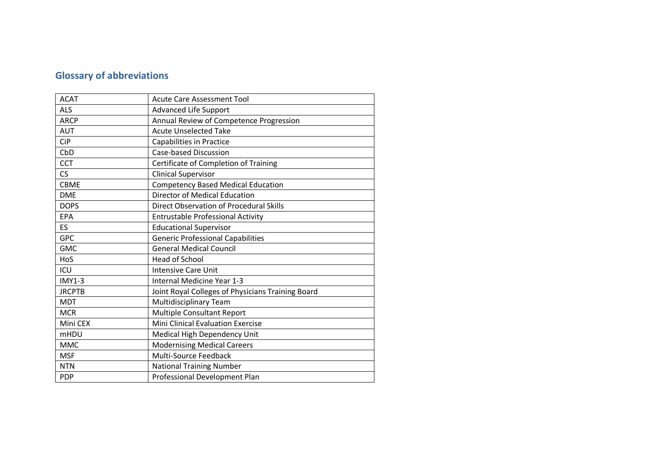## **Glossary of abbreviations**

<span id="page-34-0"></span>

| <b>ACAT</b>   | <b>Acute Care Assessment Tool</b>                 |
|---------------|---------------------------------------------------|
| <b>ALS</b>    | <b>Advanced Life Support</b>                      |
| <b>ARCP</b>   | Annual Review of Competence Progression           |
| <b>AUT</b>    | <b>Acute Unselected Take</b>                      |
| <b>CiP</b>    | <b>Capabilities in Practice</b>                   |
| CbD           | <b>Case-based Discussion</b>                      |
| <b>CCT</b>    | Certificate of Completion of Training             |
| CS.           | <b>Clinical Supervisor</b>                        |
| <b>CBME</b>   | <b>Competency Based Medical Education</b>         |
| <b>DME</b>    | <b>Director of Medical Education</b>              |
| <b>DOPS</b>   | <b>Direct Observation of Procedural Skills</b>    |
| <b>EPA</b>    | <b>Entrustable Professional Activity</b>          |
| ES            | <b>Educational Supervisor</b>                     |
| <b>GPC</b>    | <b>Generic Professional Capabilities</b>          |
| <b>GMC</b>    | <b>General Medical Council</b>                    |
| HoS           | <b>Head of School</b>                             |
| ICU           | <b>Intensive Care Unit</b>                        |
| <b>IMY1-3</b> | Internal Medicine Year 1-3                        |
| <b>JRCPTB</b> | Joint Royal Colleges of Physicians Training Board |
| <b>MDT</b>    | Multidisciplinary Team                            |
| <b>MCR</b>    | Multiple Consultant Report                        |
| Mini CEX      | <b>Mini Clinical Evaluation Exercise</b>          |
| <b>mHDU</b>   | Medical High Dependency Unit                      |
| <b>MMC</b>    | <b>Modernising Medical Careers</b>                |
| <b>MSF</b>    | <b>Multi-Source Feedback</b>                      |
| <b>NTN</b>    | <b>National Training Number</b>                   |
| <b>PDP</b>    | Professional Development Plan                     |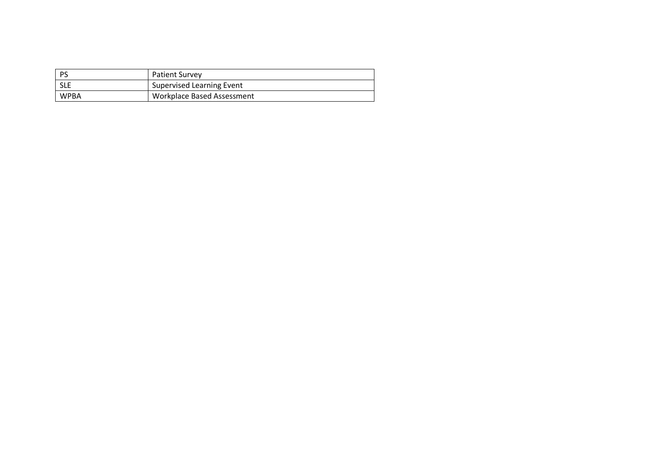| l PS       | <b>Patient Survey</b>            |
|------------|----------------------------------|
| <b>SLE</b> | <b>Supervised Learning Event</b> |
| WPBA       | Workplace Based Assessment       |